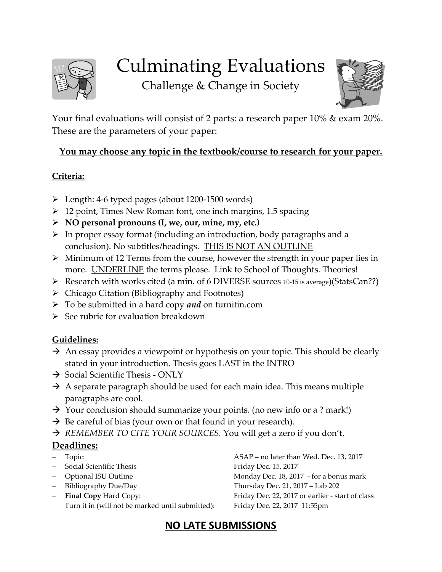

# Culminating Evaluations

Challenge & Change in Society



Your final evaluations will consist of 2 parts: a research paper 10% & exam 20%. These are the parameters of your paper:

#### **You may choose any topic in the textbook/course to research for your paper.**

#### **Criteria:**

- Length: 4-6 typed pages (about 1200-1500 words)
- $\geq 12$  point, Times New Roman font, one inch margins, 1.5 spacing
- **NO personal pronouns (I, we, our, mine, my, etc.)**
- $\triangleright$  In proper essay format (including an introduction, body paragraphs and a conclusion). No subtitles/headings. THIS IS NOT AN OUTLINE
- $\triangleright$  Minimum of 12 Terms from the course, however the strength in your paper lies in more. UNDERLINE the terms please. Link to School of Thoughts. Theories!
- Research with works cited (a min. of 6 DIVERSE sources 10-15 is average)(StatsCan??)
- $\triangleright$  Chicago Citation (Bibliography and Footnotes)
- To be submitted in a hard copy *and* on turnitin.com
- $\triangleright$  See rubric for evaluation breakdown

#### **Guidelines:**

- $\rightarrow$  An essay provides a viewpoint or hypothesis on your topic. This should be clearly stated in your introduction. Thesis goes LAST in the INTRO
- $\rightarrow$  Social Scientific Thesis ONLY
- $\rightarrow$  A separate paragraph should be used for each main idea. This means multiple paragraphs are cool.
- $\rightarrow$  Your conclusion should summarize your points. (no new info or a ? mark!)
- $\rightarrow$  Be careful of bias (your own or that found in your research).
- → REMEMBER TO CITE YOUR SOURCES. You will get a zero if you don't.

#### **Deadlines:**

- 
- Social Scientific Thesis **Friday Dec. 15, 2017**
- 
- 
- Turn it in (will not be marked until submitted): Friday Dec. 22, 2017 11:55pm

 Topic: ASAP – no later than Wed. Dec. 13, 2017 - Optional ISU Outline **Monday Dec.** 18, 2017 - for a bonus mark Bibliography Due/Day Thursday Dec. 21, 2017 – Lab 202 **Final Copy** Hard Copy: Friday Dec. 22, 2017 or earlier - start of class

### **NO LATE SUBMISSIONS**